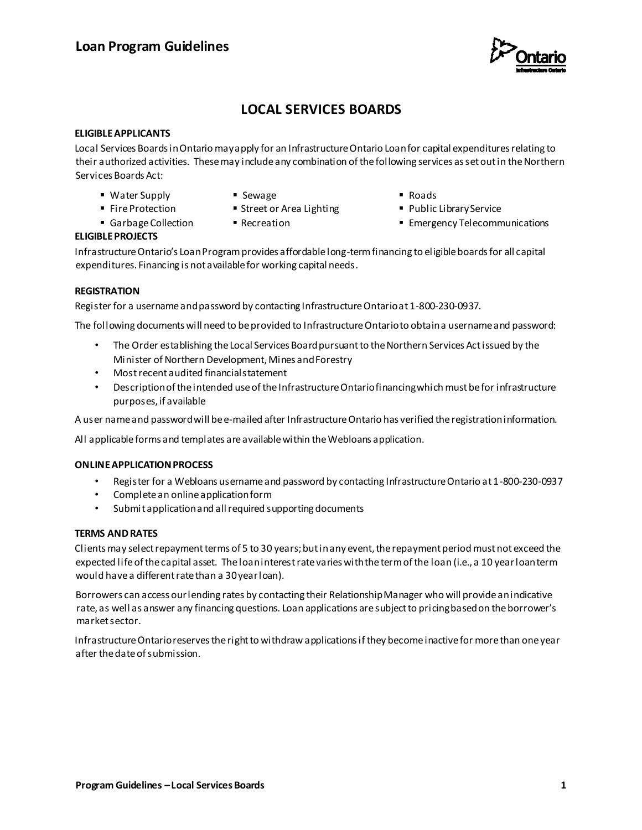

# **LOCAL SERVICES BOARDS**

#### **ELIGIBLE APPLICANTS**

Local Services Boards in Ontario may apply for an Infrastructure Ontario Loan for capital expenditures relating to their authorized activities. These may include any combination of the following services as set out in the Northern Services Boards Act:

- Water Supply
- Sewage
- Fire Protection Garbage Collection ■ Street or Area Lighting ■ Recreation
- Roads
- **Public Library Service**
- **Emergency Telecommunications**

## **ELIGIBLE PROJECTS**

Infrastructure Ontario's Loan Program provides affordable long-term financing to eligible boards for all capital expenditures. Financing is not available for working capital needs.

#### **REGISTRATION**

Register for a username and password by contacting Infrastructure Ontario at 1-800-230-0937.

The following documents will need to be provided to Infrastructure Ontario to obtain a username and password:

- The Order establishing the Local Services Board pursuant to the Northern Services Act issued by the Minister of Northern Development, Mines and Forestry
- Most recent audited financial statement
- Description of the intended use of the Infrastructure Ontario financing which must be for infrastructure purposes, if available

A user name and password will be e-mailed after Infrastructure Ontario has verified the registration information.

All applicable forms and templates are available within the Webloans application.

#### **ONLINE APPLICATION PROCESS**

- Register for a Webloans username and password by contacting Infrastructure Ontario at 1-800-230-0937
- Complete an online application form
- Submit application and all required supporting documents

#### **TERMS AND RATES**

Clients may select repayment terms of 5 to 30 years; but in any event, the repayment period must not exceed the expected life of the capital asset. The loan interest rate varies with the term of the loan (i.e., a 10 year loan term would have a different rate than a 30 year loan).

Borrowers can access our lending rates by contacting their Relationship Manager who will provide an indicative rate, as well as answer any financing questions. Loan applications are subject to pricing based on the borrower's market sector.

Infrastructure Ontario reserves the right to withdraw applications if they become inactive for more than one year after the date of submission.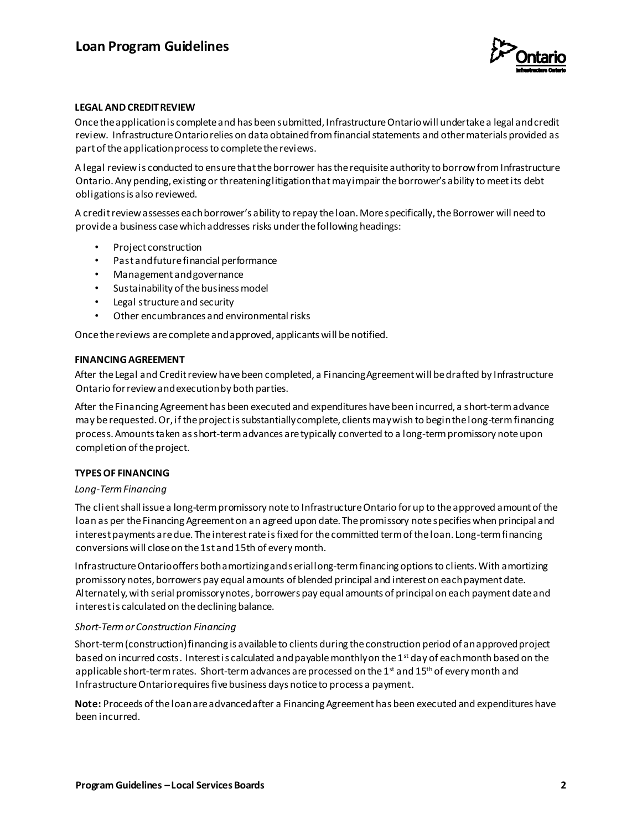

#### **LEGAL AND CREDIT REVIEW**

Once the application is complete and has been submitted, Infrastructure Ontario will undertake a legal and credit review. Infrastructure Ontario relies on data obtained from financial statements and other materials provided as part of the application process to complete the reviews.

A legal review is conducted to ensure that the borrower has the requisite authority to borrow from Infrastructure Ontario. Any pending, existing or threatening litigation that may impair the borrower's ability to meet its debt obligations is also reviewed.

A credit review assesses each borrower's ability to repay the loan. More specifically, the Borrower will need to provide a business case which addresses risks under the following headings:

- Project construction
- Past and future financial performance
- Management and governance
- Sustainability of the business model
- Legal structure and security
- Other encumbrances and environmental risks

Once the reviews are complete and approved, applicants will be notified.

#### **FINANCING AGREEMENT**

After the Legal and Credit review have been completed, a Financing Agreement will be drafted by Infrastructure Ontario for review and execution by both parties.

After the Financing Agreement has been executed and expenditures have been incurred, a short-term advance may be requested. Or, if the project is substantially complete, clients may wish to begin the long-term financing process. Amounts taken as short-term advances are typically converted to a long-term promissory note upon completion of the project.

### **TYPES OF FINANCING**

#### *Long-Term Financing*

The client shall issue a long-term promissory note to Infrastructure Ontario for up to the approved amount of the loan as per the Financing Agreement on an agreed upon date. The promissory note specifies when principal and interest payments are due. The interest rate is fixed for the committed term of the loan. Long-term financing conversions will close on the 1st and 15th of every month.

Infrastructure Ontario offers both amortizing and serial long-term financing options to clients. With amortizing promissory notes, borrowers pay equal amounts of blended principal and interest on each payment date. Alternately, with serial promissory notes, borrowers pay equal amounts of principal on each payment date and interest is calculated on the declining balance.

#### *Short-Term or Construction Financing*

Short-term (construction) financing is available to clients during the construction period of an approved project based on incurred costs. Interest is calculated and payable monthly on the 1<sup>st</sup> day of each month based on the applicable short-term rates. Short-term advances are processed on the 1st and 15<sup>th</sup> of every month and Infrastructure Ontario requires five business days notice to process a payment.

**Note:** Proceeds of the loan are advanced after a Financing Agreement has been executed and expenditures have been incurred.